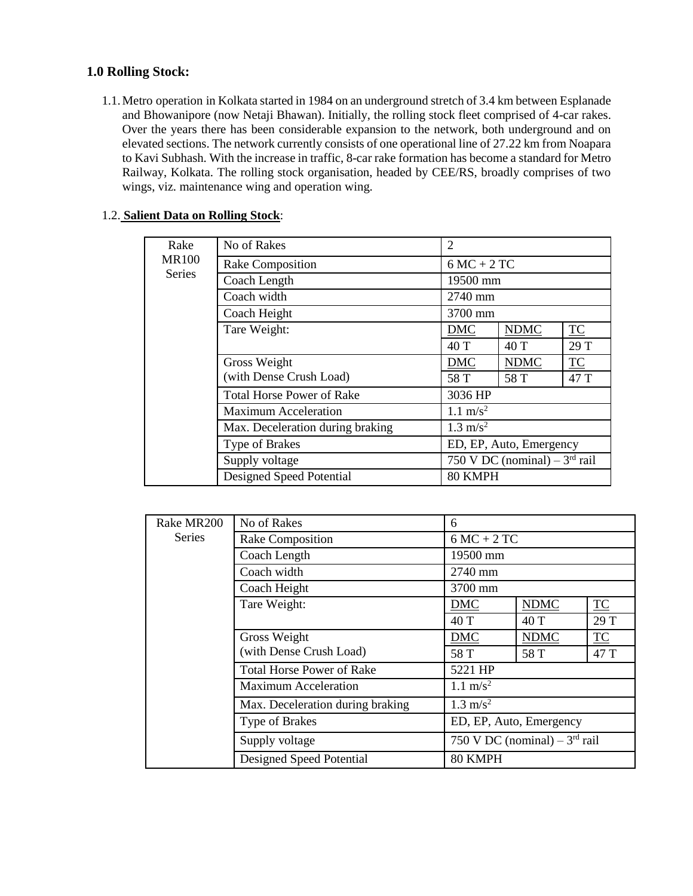## **1.0 Rolling Stock:**

1.1.Metro operation in Kolkata started in 1984 on an underground stretch of 3.4 km between Esplanade and Bhowanipore (now Netaji Bhawan). Initially, the rolling stock fleet comprised of 4-car rakes. Over the years there has been considerable expansion to the network, both underground and on elevated sections. The network currently consists of one operational line of 27.22 km from Noapara to Kavi Subhash. With the increase in traffic, 8-car rake formation has become a standard for Metro Railway, Kolkata. The rolling stock organisation, headed by CEE/RS, broadly comprises of two wings, viz. maintenance wing and operation wing.

|  |  | 1.2. Salient Data on Rolling Stock: |  |
|--|--|-------------------------------------|--|
|  |  |                                     |  |

| Rake          | No of Rakes                      | $\overline{2}$                    |                         |           |
|---------------|----------------------------------|-----------------------------------|-------------------------|-----------|
| <b>MR100</b>  | Rake Composition                 | $6MC + 2TC$                       |                         |           |
| <b>Series</b> | Coach Length                     | 19500 mm                          |                         |           |
|               | Coach width                      | 2740 mm                           |                         |           |
|               | Coach Height                     | 3700 mm                           |                         |           |
|               | Tare Weight:                     | <b>DMC</b>                        | <b>NDMC</b>             | <b>TC</b> |
|               |                                  | 40 T                              | 40 T                    | 29 T      |
|               | Gross Weight                     | <b>DMC</b>                        | <b>NDMC</b>             | TC        |
|               | (with Dense Crush Load)          | 58 T                              | 58 T                    | 47 T      |
|               | <b>Total Horse Power of Rake</b> | 3036 HP                           |                         |           |
|               | <b>Maximum Acceleration</b>      | $1.1 \text{ m/s}^2$               |                         |           |
|               | Max. Deceleration during braking | $1.3 \text{ m/s}^2$               |                         |           |
|               | Type of Brakes                   |                                   | ED, EP, Auto, Emergency |           |
|               | Supply voltage                   | 750 V DC (nominal) $-3^{rd}$ rail |                         |           |
|               | Designed Speed Potential         | 80 KMPH                           |                         |           |

| Rake MR200    | No of Rakes                      | 6                   |                                   |      |
|---------------|----------------------------------|---------------------|-----------------------------------|------|
| <b>Series</b> | Rake Composition                 | $6MC + 2TC$         |                                   |      |
|               | Coach Length                     | 19500 mm            |                                   |      |
|               | Coach width                      | 2740 mm             |                                   |      |
|               | Coach Height                     | 3700 mm             |                                   |      |
|               | Tare Weight:                     | <b>DMC</b>          | <b>NDMC</b>                       | TC   |
|               |                                  | 40 T                | 40T                               | 29 T |
|               | Gross Weight                     | <b>DMC</b>          | <b>NDMC</b>                       | TC   |
|               | (with Dense Crush Load)          | 58 T                | 58 T                              | 47 T |
|               | <b>Total Horse Power of Rake</b> | 5221 HP             |                                   |      |
|               | <b>Maximum Acceleration</b>      | $1.1 \text{ m/s}^2$ |                                   |      |
|               | Max. Deceleration during braking | $1.3 \text{ m/s}^2$ |                                   |      |
|               | Type of Brakes                   |                     | ED, EP, Auto, Emergency           |      |
|               | Supply voltage                   |                     | 750 V DC (nominal) $-3^{rd}$ rail |      |
|               | Designed Speed Potential         | 80 KMPH             |                                   |      |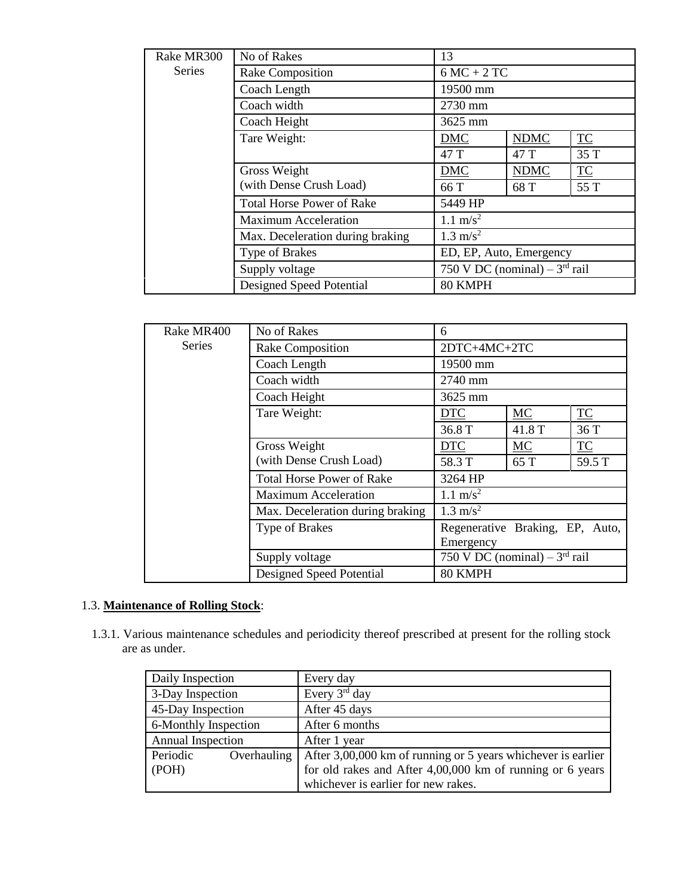| Rake MR300    | No of Rakes                      | 13                                |             |                         |
|---------------|----------------------------------|-----------------------------------|-------------|-------------------------|
| <b>Series</b> | Rake Composition                 | $6MC + 2TC$                       |             |                         |
|               | Coach Length                     | 19500 mm                          |             |                         |
|               | Coach width                      | 2730 mm                           |             |                         |
|               | Coach Height                     | 3625 mm                           |             |                         |
|               | Tare Weight:                     | <b>DMC</b>                        | <b>NDMC</b> | $\underline{\text{TC}}$ |
|               |                                  | 47 T                              | 47 T        | 35 T                    |
|               | Gross Weight                     | <b>DMC</b>                        | <b>NDMC</b> | TC                      |
|               | (with Dense Crush Load)          | 66 T                              | 68 T        | 55 T                    |
|               | <b>Total Horse Power of Rake</b> | 5449 HP                           |             |                         |
|               | <b>Maximum Acceleration</b>      | $1.1 \text{ m/s}^2$               |             |                         |
|               | Max. Deceleration during braking | $1.3 \text{ m/s}^2$               |             |                         |
|               | Type of Brakes                   | ED, EP, Auto, Emergency           |             |                         |
|               | Supply voltage                   | 750 V DC (nominal) $-3^{rd}$ rail |             |                         |
|               | Designed Speed Potential         | 80 KMPH                           |             |                         |

| Rake MR400    | No of Rakes                      | 6                                 |        |                         |
|---------------|----------------------------------|-----------------------------------|--------|-------------------------|
| <b>Series</b> | <b>Rake Composition</b>          | 2DTC+4MC+2TC                      |        |                         |
|               | Coach Length                     | 19500 mm                          |        |                         |
|               | Coach width                      | 2740 mm                           |        |                         |
|               | Coach Height                     | 3625 mm                           |        |                         |
|               | Tare Weight:                     | <b>DTC</b>                        | MC     | $\underline{\text{TC}}$ |
|               |                                  | 36.8 T                            | 41.8 T | 36 T                    |
|               | Gross Weight                     | <b>DTC</b>                        | MC     | TC                      |
|               | (with Dense Crush Load)          | 58.3 T                            | 65 T   | 59.5 T                  |
|               | <b>Total Horse Power of Rake</b> | 3264 HP                           |        |                         |
|               | <b>Maximum Acceleration</b>      | $1.1 \text{ m/s}^2$               |        |                         |
|               | Max. Deceleration during braking | $1.3 \text{ m/s}^2$               |        |                         |
|               | Type of Brakes                   | Regenerative Braking, EP, Auto,   |        |                         |
|               |                                  | Emergency                         |        |                         |
|               | Supply voltage                   | 750 V DC (nominal) $-3^{rd}$ rail |        |                         |
|               | Designed Speed Potential         | 80 KMPH                           |        |                         |

## 1.3. **Maintenance of Rolling Stock**:

1.3.1. Various maintenance schedules and periodicity thereof prescribed at present for the rolling stock are as under.

| Daily Inspection        | Every day                                                    |
|-------------------------|--------------------------------------------------------------|
| 3-Day Inspection        | Every $3rd$ day                                              |
| 45-Day Inspection       | After 45 days                                                |
| 6-Monthly Inspection    | After 6 months                                               |
| Annual Inspection       | After 1 year                                                 |
| Periodic<br>Overhauling | After 3,00,000 km of running or 5 years whichever is earlier |
| (POH)                   | for old rakes and After $4,00,000$ km of running or 6 years  |
|                         | whichever is earlier for new rakes.                          |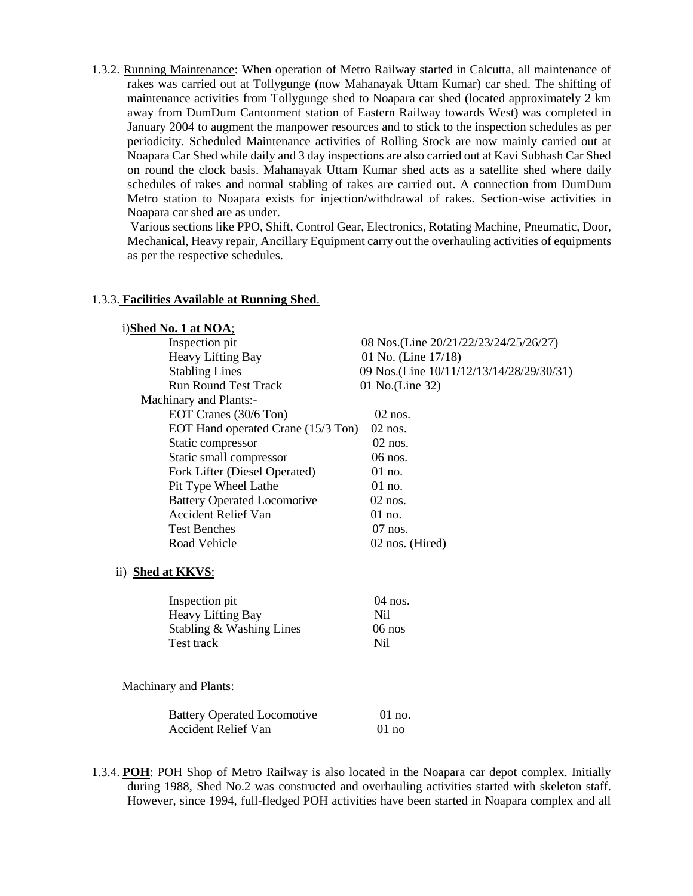1.3.2. Running Maintenance: When operation of Metro Railway started in Calcutta, all maintenance of rakes was carried out at Tollygunge (now Mahanayak Uttam Kumar) car shed. The shifting of maintenance activities from Tollygunge shed to Noapara car shed (located approximately 2 km away from DumDum Cantonment station of Eastern Railway towards West) was completed in January 2004 to augment the manpower resources and to stick to the inspection schedules as per periodicity. Scheduled Maintenance activities of Rolling Stock are now mainly carried out at Noapara Car Shed while daily and 3 day inspections are also carried out at Kavi Subhash Car Shed on round the clock basis. Mahanayak Uttam Kumar shed acts as a satellite shed where daily schedules of rakes and normal stabling of rakes are carried out. A connection from DumDum Metro station to Noapara exists for injection/withdrawal of rakes. Section-wise activities in Noapara car shed are as under.

Various sections like PPO, Shift, Control Gear, Electronics, Rotating Machine, Pneumatic, Door, Mechanical, Heavy repair, Ancillary Equipment carry out the overhauling activities of equipments as per the respective schedules.

#### 1.3.3. **Facilities Available at Running Shed**.

#### i)**Shed No. 1 at NOA**;

| Inspection pit                     | 08 Nos.(Line 20/21/22/23/24/25/26/27)    |
|------------------------------------|------------------------------------------|
| <b>Heavy Lifting Bay</b>           | 01 No. (Line 17/18)                      |
| <b>Stabling Lines</b>              | 09 Nos.(Line 10/11/12/13/14/28/29/30/31) |
| <b>Run Round Test Track</b>        | 01 No.(Line 32)                          |
| Machinary and Plants:-             |                                          |
| EOT Cranes (30/6 Ton)              | $02$ nos.                                |
| EOT Hand operated Crane (15/3 Ton) | $02$ nos.                                |
| Static compressor                  | $02$ nos.                                |
| Static small compressor            | $06$ nos.                                |
| Fork Lifter (Diesel Operated)      | $01$ no.                                 |
| Pit Type Wheel Lathe               | $01$ no.                                 |
| <b>Battery Operated Locomotive</b> | $02$ nos.                                |
| Accident Relief Van                | $01$ no.                                 |
| <b>Test Benches</b>                | $07$ nos.                                |
| Road Vehicle                       | 02 nos. (Hired)                          |

#### ii) **Shed at KKVS**:

| Inspection pit.          | $04$ nos. |
|--------------------------|-----------|
| <b>Heavy Lifting Bay</b> | Ni1       |
| Stabling & Washing Lines | $06$ nos  |
| Test track               | Ni1       |

Machinary and Plants:

| <b>Battery Operated Locomotive</b> | $01$ no. |
|------------------------------------|----------|
| <b>Accident Relief Van</b>         | $01$ no  |

1.3.4. **POH**: POH Shop of Metro Railway is also located in the Noapara car depot complex. Initially during 1988, Shed No.2 was constructed and overhauling activities started with skeleton staff. However, since 1994, full-fledged POH activities have been started in Noapara complex and all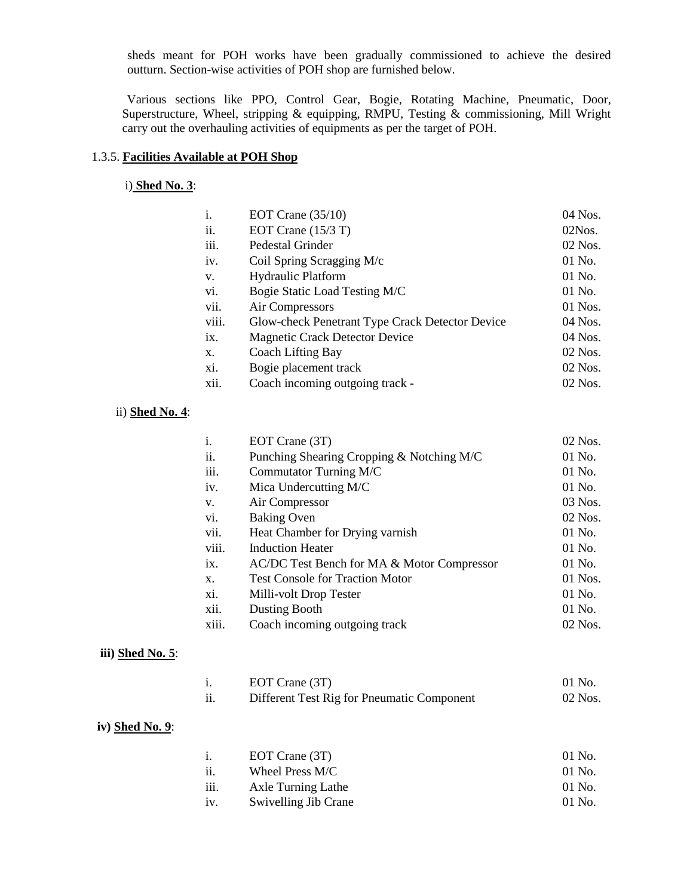sheds meant for POH works have been gradually commissioned to achieve the desired outturn. Section-wise activities of POH shop are furnished below.

 Various sections like PPO, Control Gear, Bogie, Rotating Machine, Pneumatic, Door, Superstructure, Wheel, stripping & equipping, RMPU, Testing & commissioning, Mill Wright carry out the overhauling activities of equipments as per the target of POH.

### 1.3.5. **Facilities Available at POH Shop**

i) **Shed No. 3**:

| i.    | EOT Crane $(35/10)$                             | 04 Nos.   |
|-------|-------------------------------------------------|-----------|
| ii.   | EOT Crane $(15/3)$ T)                           | $02N$ os. |
| iii.  | Pedestal Grinder                                | $02$ Nos. |
| iv.   | Coil Spring Scragging M/c                       | 01 No.    |
| V.    | <b>Hydraulic Platform</b>                       | $01$ No.  |
| vi.   | Bogie Static Load Testing M/C                   | 01 No.    |
| vii.  | Air Compressors                                 | $01$ Nos. |
| viii. | Glow-check Penetrant Type Crack Detector Device | 04 Nos.   |
| ix.   | <b>Magnetic Crack Detector Device</b>           | 04 Nos.   |
| $X$ . | Coach Lifting Bay                               | 02 Nos.   |
| xi.   | Bogie placement track                           | $02$ Nos. |
| xii.  | Coach incoming outgoing track -                 | $02$ Nos. |

#### ii) **Shed No. 4**:

| i.    | EOT Crane (3T)                             | 02 Nos.  |
|-------|--------------------------------------------|----------|
| ii.   | Punching Shearing Cropping & Notching M/C  | 01 No.   |
| iii.  | Commutator Turning M/C                     | $01$ No. |
| iv.   | Mica Undercutting M/C                      | $01$ No. |
| V.    | Air Compressor                             | 03 Nos.  |
| vi.   | <b>Baking Oven</b>                         | 02 Nos.  |
| vii.  | Heat Chamber for Drying varnish            | $01$ No. |
| viii. | <b>Induction Heater</b>                    | $01$ No. |
| ix.   | AC/DC Test Bench for MA & Motor Compressor | $01$ No. |
| X.    | <b>Test Console for Traction Motor</b>     | 01 Nos.  |
| xi.   | Milli-volt Drop Tester                     | $01$ No. |
| xii.  | Dusting Booth                              | $01$ No. |
| xiii. | Coach incoming outgoing track              | 02 Nos.  |

#### **iii) Shed No. 5**:

|    | EOT Crane (3T)                             | -01 No.   |
|----|--------------------------------------------|-----------|
| ii | Different Test Rig for Pneumatic Component | $02$ Nos. |

#### **iv) Shed No. 9**:

|      | EOT Crane (3T)       | 01 No.   |
|------|----------------------|----------|
| ii.  | Wheel Press M/C      | 01 No.   |
| iii. | Axle Turning Lathe   | $01$ No. |
| iv.  | Swivelling Jib Crane | $01$ No. |
|      |                      |          |